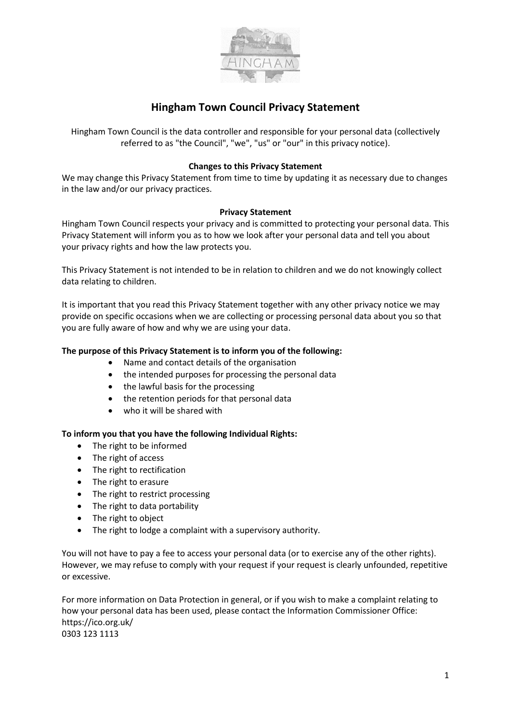

# **Hingham Town Council Privacy Statement**

Hingham Town Council is the data controller and responsible for your personal data (collectively referred to as "the Council", "we", "us" or "our" in this privacy notice).

## **Changes to this Privacy Statement**

We may change this Privacy Statement from time to time by updating it as necessary due to changes in the law and/or our privacy practices.

## **Privacy Statement**

Hingham Town Council respects your privacy and is committed to protecting your personal data. This Privacy Statement will inform you as to how we look after your personal data and tell you about your privacy rights and how the law protects you.

This Privacy Statement is not intended to be in relation to children and we do not knowingly collect data relating to children.

It is important that you read this Privacy Statement together with any other privacy notice we may provide on specific occasions when we are collecting or processing personal data about you so that you are fully aware of how and why we are using your data.

## **The purpose of this Privacy Statement is to inform you of the following:**

- Name and contact details of the organisation
- the intended purposes for processing the personal data
- the lawful basis for the processing
- the retention periods for that personal data
- who it will be shared with

#### **To inform you that you have the following Individual Rights:**

- The right to be informed
- The right of access
- The right to rectification
- The right to erasure
- The right to restrict processing
- The right to data portability
- The right to object
- The right to lodge a complaint with a supervisory authority.

You will not have to pay a fee to access your personal data (or to exercise any of the other rights). However, we may refuse to comply with your request if your request is clearly unfounded, repetitive or excessive.

For more information on Data Protection in general, or if you wish to make a complaint relating to how your personal data has been used, please contact the Information Commissioner Office: https://ico.org.uk/ 0303 123 1113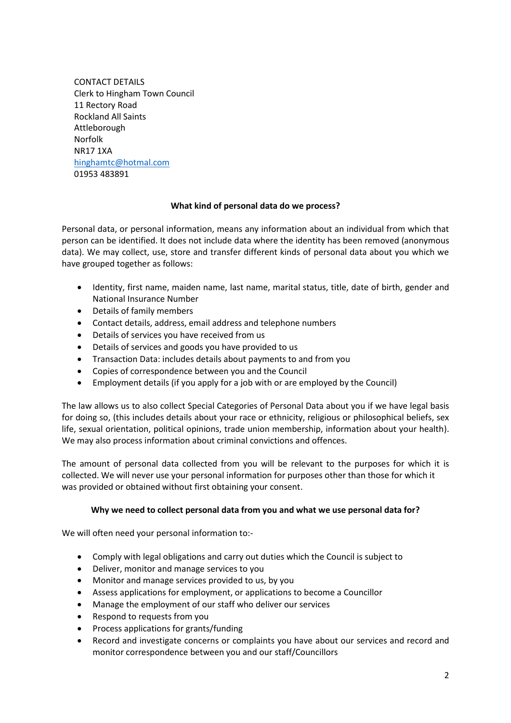CONTACT DETAILS Clerk to Hingham Town Council 11 Rectory Road Rockland All Saints Attleborough Norfolk NR17 1XA [hinghamtc@hotmal.com](mailto:hinghamtc@hotmal.com) 01953 483891

## **What kind of personal data do we process?**

Personal data, or personal information, means any information about an individual from which that person can be identified. It does not include data where the identity has been removed (anonymous data). We may collect, use, store and transfer different kinds of personal data about you which we have grouped together as follows:

- Identity, first name, maiden name, last name, marital status, title, date of birth, gender and National Insurance Number
- Details of family members
- Contact details, address, email address and telephone numbers
- Details of services you have received from us
- Details of services and goods you have provided to us
- Transaction Data: includes details about payments to and from you
- Copies of correspondence between you and the Council
- Employment details (if you apply for a job with or are employed by the Council)

The law allows us to also collect Special Categories of Personal Data about you if we have legal basis for doing so, (this includes details about your race or ethnicity, religious or philosophical beliefs, sex life, sexual orientation, political opinions, trade union membership, information about your health). We may also process information about criminal convictions and offences.

The amount of personal data collected from you will be relevant to the purposes for which it is collected. We will never use your personal information for purposes other than those for which it was provided or obtained without first obtaining your consent.

# **Why we need to collect personal data from you and what we use personal data for?**

We will often need your personal information to:-

- Comply with legal obligations and carry out duties which the Council is subject to
- Deliver, monitor and manage services to you
- Monitor and manage services provided to us, by you
- Assess applications for employment, or applications to become a Councillor
- Manage the employment of our staff who deliver our services
- Respond to requests from you
- Process applications for grants/funding
- Record and investigate concerns or complaints you have about our services and record and monitor correspondence between you and our staff/Councillors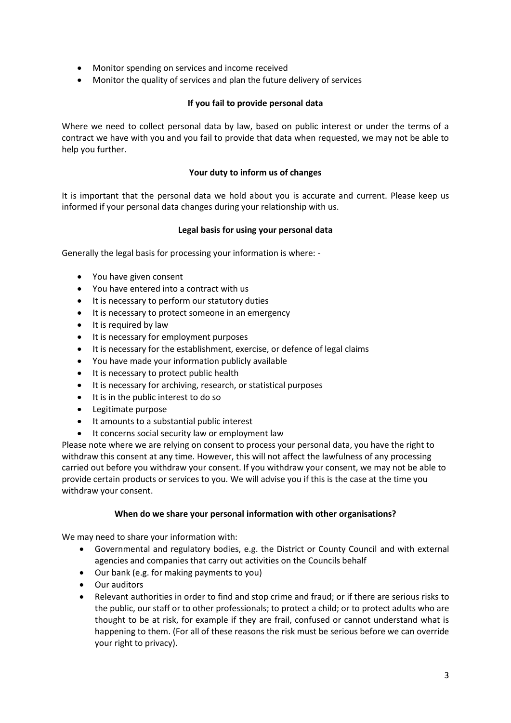- Monitor spending on services and income received
- Monitor the quality of services and plan the future delivery of services

# **If you fail to provide personal data**

Where we need to collect personal data by law, based on public interest or under the terms of a contract we have with you and you fail to provide that data when requested, we may not be able to help you further.

## **Your duty to inform us of changes**

It is important that the personal data we hold about you is accurate and current. Please keep us informed if your personal data changes during your relationship with us.

## **Legal basis for using your personal data**

Generally the legal basis for processing your information is where: -

- You have given consent
- You have entered into a contract with us
- It is necessary to perform our statutory duties
- It is necessary to protect someone in an emergency
- It is required by law
- It is necessary for employment purposes
- It is necessary for the establishment, exercise, or defence of legal claims
- You have made your information publicly available
- It is necessary to protect public health
- It is necessary for archiving, research, or statistical purposes
- It is in the public interest to do so
- Legitimate purpose
- It amounts to a substantial public interest
- It concerns social security law or employment law

Please note where we are relying on consent to process your personal data, you have the right to withdraw this consent at any time. However, this will not affect the lawfulness of any processing carried out before you withdraw your consent. If you withdraw your consent, we may not be able to provide certain products or services to you. We will advise you if this is the case at the time you withdraw your consent.

#### **When do we share your personal information with other organisations?**

We may need to share your information with:

- Governmental and regulatory bodies, e.g. the District or County Council and with external agencies and companies that carry out activities on the Councils behalf
- Our bank (e.g. for making payments to you)
- Our auditors
- Relevant authorities in order to find and stop crime and fraud; or if there are serious risks to the public, our staff or to other professionals; to protect a child; or to protect adults who are thought to be at risk, for example if they are frail, confused or cannot understand what is happening to them. (For all of these reasons the risk must be serious before we can override your right to privacy).